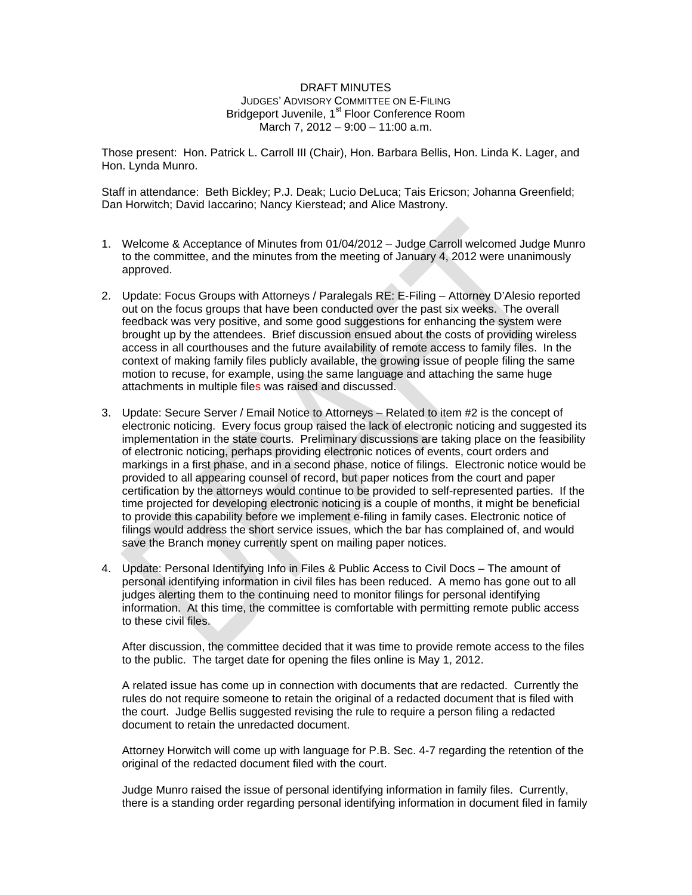## DRAFT MINUTES JUDGES' ADVISORY COMMITTEE ON E-FILING Bridgeport Juvenile, 1<sup>st</sup> Floor Conference Room March 7, 2012 – 9:00 – 11:00 a.m.

Those present: Hon. Patrick L. Carroll III (Chair), Hon. Barbara Bellis, Hon. Linda K. Lager, and Hon. Lynda Munro.

Staff in attendance: Beth Bickley; P.J. Deak; Lucio DeLuca; Tais Ericson; Johanna Greenfield; Dan Horwitch; David Iaccarino; Nancy Kierstead; and Alice Mastrony.

- 1. Welcome & Acceptance of Minutes from 01/04/2012 Judge Carroll welcomed Judge Munro to the committee, and the minutes from the meeting of January 4, 2012 were unanimously approved.
- 2. Update: Focus Groups with Attorneys / Paralegals RE: E-Filing Attorney D'Alesio reported out on the focus groups that have been conducted over the past six weeks. The overall feedback was very positive, and some good suggestions for enhancing the system were brought up by the attendees. Brief discussion ensued about the costs of providing wireless access in all courthouses and the future availability of remote access to family files. In the context of making family files publicly available, the growing issue of people filing the same motion to recuse, for example, using the same language and attaching the same huge attachments in multiple files was raised and discussed.
- 3. Update: Secure Server / Email Notice to Attorneys Related to item #2 is the concept of electronic noticing. Every focus group raised the lack of electronic noticing and suggested its implementation in the state courts. Preliminary discussions are taking place on the feasibility of electronic noticing, perhaps providing electronic notices of events, court orders and markings in a first phase, and in a second phase, notice of filings. Electronic notice would be provided to all appearing counsel of record, but paper notices from the court and paper certification by the attorneys would continue to be provided to self-represented parties. If the time projected for developing electronic noticing is a couple of months, it might be beneficial to provide this capability before we implement e-filing in family cases. Electronic notice of filings would address the short service issues, which the bar has complained of, and would save the Branch money currently spent on mailing paper notices.
- 4. Update: Personal Identifying Info in Files & Public Access to Civil Docs The amount of personal identifying information in civil files has been reduced. A memo has gone out to all judges alerting them to the continuing need to monitor filings for personal identifying information. At this time, the committee is comfortable with permitting remote public access to these civil files.

After discussion, the committee decided that it was time to provide remote access to the files to the public. The target date for opening the files online is May 1, 2012.

A related issue has come up in connection with documents that are redacted. Currently the rules do not require someone to retain the original of a redacted document that is filed with the court. Judge Bellis suggested revising the rule to require a person filing a redacted document to retain the unredacted document.

Attorney Horwitch will come up with language for P.B. Sec. 4-7 regarding the retention of the original of the redacted document filed with the court.

Judge Munro raised the issue of personal identifying information in family files. Currently, there is a standing order regarding personal identifying information in document filed in family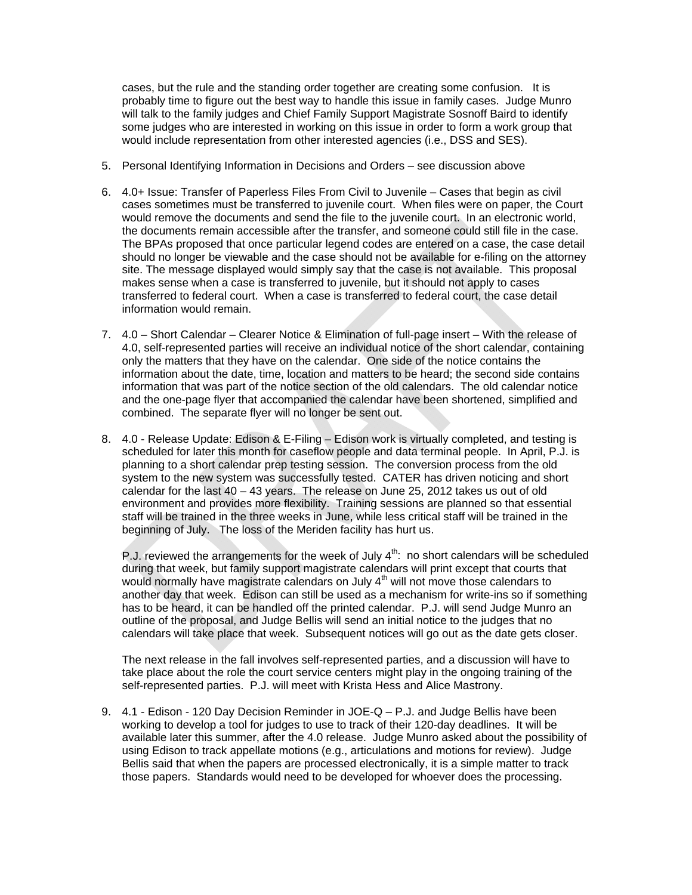cases, but the rule and the standing order together are creating some confusion. It is probably time to figure out the best way to handle this issue in family cases. Judge Munro will talk to the family judges and Chief Family Support Magistrate Sosnoff Baird to identify some judges who are interested in working on this issue in order to form a work group that would include representation from other interested agencies (i.e., DSS and SES).

- 5. Personal Identifying Information in Decisions and Orders see discussion above
- 6. 4.0+ Issue: Transfer of Paperless Files From Civil to Juvenile Cases that begin as civil cases sometimes must be transferred to juvenile court. When files were on paper, the Court would remove the documents and send the file to the juvenile court. In an electronic world, the documents remain accessible after the transfer, and someone could still file in the case. The BPAs proposed that once particular legend codes are entered on a case, the case detail should no longer be viewable and the case should not be available for e-filing on the attorney site. The message displayed would simply say that the case is not available. This proposal makes sense when a case is transferred to juvenile, but it should not apply to cases transferred to federal court. When a case is transferred to federal court, the case detail information would remain.
- 7. 4.0 Short Calendar Clearer Notice & Elimination of full-page insert With the release of 4.0, self-represented parties will receive an individual notice of the short calendar, containing only the matters that they have on the calendar. One side of the notice contains the information about the date, time, location and matters to be heard; the second side contains information that was part of the notice section of the old calendars. The old calendar notice and the one-page flyer that accompanied the calendar have been shortened, simplified and combined. The separate flyer will no longer be sent out.
- 8. 4.0 Release Update: Edison & E-Filing Edison work is virtually completed, and testing is scheduled for later this month for caseflow people and data terminal people. In April, P.J. is planning to a short calendar prep testing session. The conversion process from the old system to the new system was successfully tested. CATER has driven noticing and short calendar for the last 40 – 43 years. The release on June 25, 2012 takes us out of old environment and provides more flexibility. Training sessions are planned so that essential staff will be trained in the three weeks in June, while less critical staff will be trained in the beginning of July. The loss of the Meriden facility has hurt us.

P.J. reviewed the arrangements for the week of July  $4<sup>th</sup>$ : no short calendars will be scheduled during that week, but family support magistrate calendars will print except that courts that would normally have magistrate calendars on July  $4<sup>th</sup>$  will not move those calendars to another day that week. Edison can still be used as a mechanism for write-ins so if something has to be heard, it can be handled off the printed calendar. P.J. will send Judge Munro an outline of the proposal, and Judge Bellis will send an initial notice to the judges that no calendars will take place that week. Subsequent notices will go out as the date gets closer.

The next release in the fall involves self-represented parties, and a discussion will have to take place about the role the court service centers might play in the ongoing training of the self-represented parties. P.J. will meet with Krista Hess and Alice Mastrony.

9. 4.1 - Edison - 120 Day Decision Reminder in JOE-Q – P.J. and Judge Bellis have been working to develop a tool for judges to use to track of their 120-day deadlines. It will be available later this summer, after the 4.0 release. Judge Munro asked about the possibility of using Edison to track appellate motions (e.g., articulations and motions for review). Judge Bellis said that when the papers are processed electronically, it is a simple matter to track those papers. Standards would need to be developed for whoever does the processing.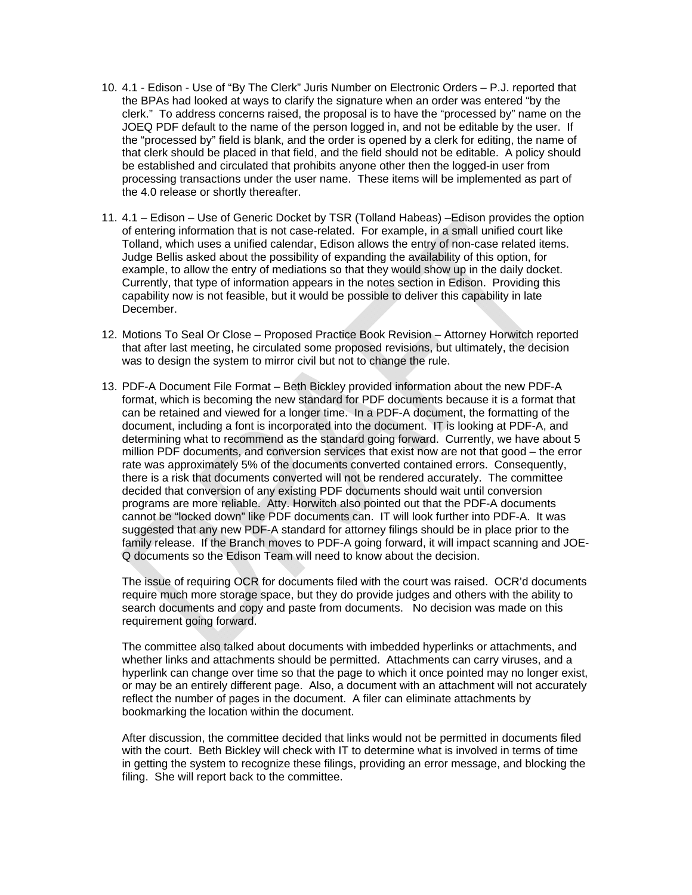- 10. 4.1 Edison Use of "By The Clerk" Juris Number on Electronic Orders P.J. reported that the BPAs had looked at ways to clarify the signature when an order was entered "by the clerk." To address concerns raised, the proposal is to have the "processed by" name on the JOEQ PDF default to the name of the person logged in, and not be editable by the user. If the "processed by" field is blank, and the order is opened by a clerk for editing, the name of that clerk should be placed in that field, and the field should not be editable. A policy should be established and circulated that prohibits anyone other then the logged-in user from processing transactions under the user name. These items will be implemented as part of the 4.0 release or shortly thereafter.
- 11. 4.1 Edison Use of Generic Docket by TSR (Tolland Habeas) –Edison provides the option of entering information that is not case-related. For example, in a small unified court like Tolland, which uses a unified calendar, Edison allows the entry of non-case related items. Judge Bellis asked about the possibility of expanding the availability of this option, for example, to allow the entry of mediations so that they would show up in the daily docket. Currently, that type of information appears in the notes section in Edison. Providing this capability now is not feasible, but it would be possible to deliver this capability in late December.
- 12. Motions To Seal Or Close Proposed Practice Book Revision Attorney Horwitch reported that after last meeting, he circulated some proposed revisions, but ultimately, the decision was to design the system to mirror civil but not to change the rule.
- 13. PDF-A Document File Format Beth Bickley provided information about the new PDF-A format, which is becoming the new standard for PDF documents because it is a format that can be retained and viewed for a longer time. In a PDF-A document, the formatting of the document, including a font is incorporated into the document. IT is looking at PDF-A, and determining what to recommend as the standard going forward. Currently, we have about 5 million PDF documents, and conversion services that exist now are not that good – the error rate was approximately 5% of the documents converted contained errors. Consequently, there is a risk that documents converted will not be rendered accurately. The committee decided that conversion of any existing PDF documents should wait until conversion programs are more reliable. Atty. Horwitch also pointed out that the PDF-A documents cannot be "locked down" like PDF documents can. IT will look further into PDF-A. It was suggested that any new PDF-A standard for attorney filings should be in place prior to the family release. If the Branch moves to PDF-A going forward, it will impact scanning and JOE-Q documents so the Edison Team will need to know about the decision.

The issue of requiring OCR for documents filed with the court was raised. OCR'd documents require much more storage space, but they do provide judges and others with the ability to search documents and copy and paste from documents. No decision was made on this requirement going forward.

The committee also talked about documents with imbedded hyperlinks or attachments, and whether links and attachments should be permitted. Attachments can carry viruses, and a hyperlink can change over time so that the page to which it once pointed may no longer exist, or may be an entirely different page. Also, a document with an attachment will not accurately reflect the number of pages in the document. A filer can eliminate attachments by bookmarking the location within the document.

After discussion, the committee decided that links would not be permitted in documents filed with the court. Beth Bickley will check with IT to determine what is involved in terms of time in getting the system to recognize these filings, providing an error message, and blocking the filing. She will report back to the committee.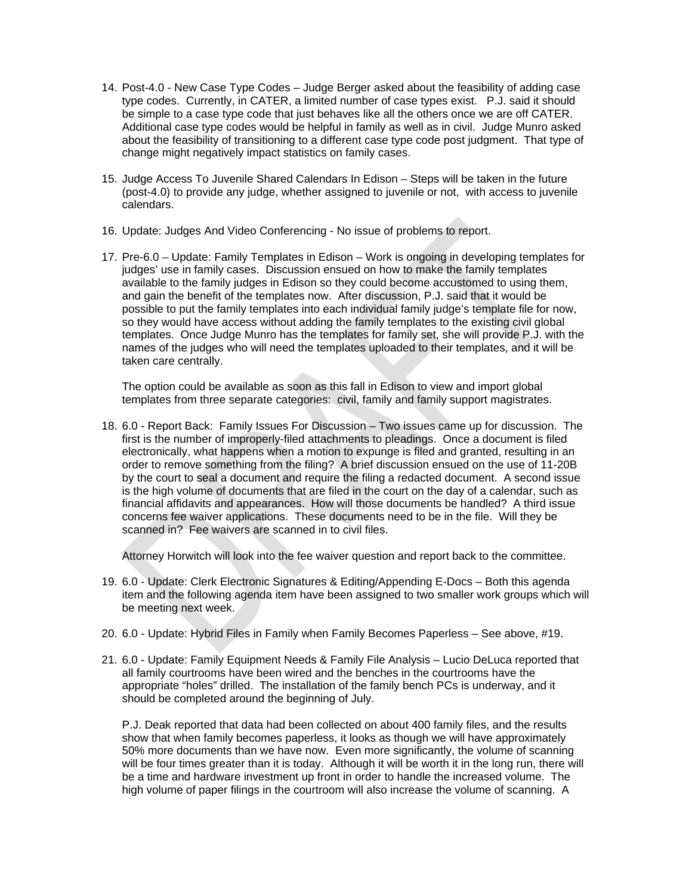- 14. Post-4.0 New Case Type Codes Judge Berger asked about the feasibility of adding case type codes. Currently, in CATER, a limited number of case types exist. P.J. said it should be simple to a case type code that just behaves like all the others once we are off CATER. Additional case type codes would be helpful in family as well as in civil. Judge Munro asked about the feasibility of transitioning to a different case type code post judgment. That type of change might negatively impact statistics on family cases.
- 15. Judge Access To Juvenile Shared Calendars In Edison Steps will be taken in the future (post-4.0) to provide any judge, whether assigned to juvenile or not, with access to juvenile calendars.
- 16. Update: Judges And Video Conferencing No issue of problems to report.
- 17. Pre-6.0 Update: Family Templates in Edison Work is ongoing in developing templates for judges' use in family cases. Discussion ensued on how to make the family templates available to the family judges in Edison so they could become accustomed to using them, and gain the benefit of the templates now. After discussion, P.J. said that it would be possible to put the family templates into each individual family judge's template file for now, so they would have access without adding the family templates to the existing civil global templates. Once Judge Munro has the templates for family set, she will provide P.J. with the names of the judges who will need the templates uploaded to their templates, and it will be taken care centrally.

The option could be available as soon as this fall in Edison to view and import global templates from three separate categories: civil, family and family support magistrates.

18. 6.0 - Report Back: Family Issues For Discussion – Two issues came up for discussion. The first is the number of improperly-filed attachments to pleadings. Once a document is filed electronically, what happens when a motion to expunge is filed and granted, resulting in an order to remove something from the filing? A brief discussion ensued on the use of 11-20B by the court to seal a document and require the filing a redacted document. A second issue is the high volume of documents that are filed in the court on the day of a calendar, such as financial affidavits and appearances. How will those documents be handled? A third issue concerns fee waiver applications. These documents need to be in the file. Will they be scanned in? Fee waivers are scanned in to civil files.

Attorney Horwitch will look into the fee waiver question and report back to the committee.

- 19. 6.0 Update: Clerk Electronic Signatures & Editing/Appending E-Docs Both this agenda item and the following agenda item have been assigned to two smaller work groups which will be meeting next week.
- 20. 6.0 Update: Hybrid Files in Family when Family Becomes Paperless See above, #19.
- 21. 6.0 Update: Family Equipment Needs & Family File Analysis Lucio DeLuca reported that all family courtrooms have been wired and the benches in the courtrooms have the appropriate "holes" drilled. The installation of the family bench PCs is underway, and it should be completed around the beginning of July.

P.J. Deak reported that data had been collected on about 400 family files, and the results show that when family becomes paperless, it looks as though we will have approximately 50% more documents than we have now. Even more significantly, the volume of scanning will be four times greater than it is today. Although it will be worth it in the long run, there will be a time and hardware investment up front in order to handle the increased volume. The high volume of paper filings in the courtroom will also increase the volume of scanning. A